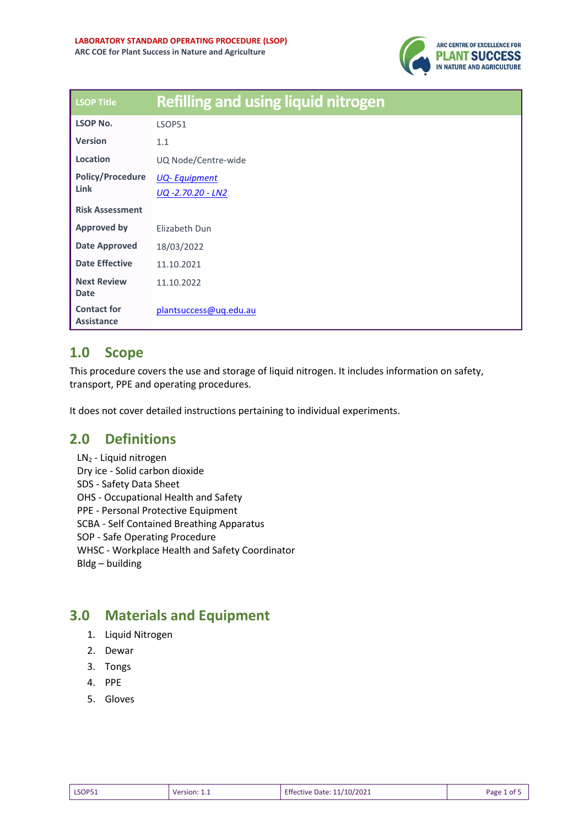

| <b>LSOP Title</b>                       | <b>Refilling and using liquid nitrogen</b> |
|-----------------------------------------|--------------------------------------------|
| LSOP No.                                | <b>LSOP51</b>                              |
| <b>Version</b>                          | 1.1                                        |
| Location                                | UQ Node/Centre-wide                        |
| <b>Policy/Procedure</b><br>Link         | <b>UQ-Equipment</b>                        |
|                                         | UQ-2.70.20 - LN2                           |
| <b>Risk Assessment</b>                  |                                            |
| <b>Approved by</b>                      | Elizabeth Dun                              |
| <b>Date Approved</b>                    | 18/03/2022                                 |
| <b>Date Effective</b>                   | 11.10.2021                                 |
| <b>Next Review</b>                      | 11.10.2022                                 |
| <b>Date</b>                             |                                            |
| <b>Contact for</b><br><b>Assistance</b> | plantsuccess@uq.edu.au                     |

## **1.0 Scope**

This procedure covers the use and storage of liquid nitrogen. It includes information on safety, transport, PPE and operating procedures.

It does not cover detailed instructions pertaining to individual experiments.

## **2.0 Definitions**

LN<sup>2</sup> - Liquid nitrogen Dry ice - Solid carbon dioxide SDS - Safety Data Sheet OHS - Occupational Health and Safety PPE - Personal Protective Equipment SCBA - Self Contained Breathing Apparatus SOP - Safe Operating Procedure [WHSC](https://ppl.app.uq.edu.au/glossary/term/20) - Workplace Health and Safety Coordinator Bldg – building

# **3.0 Materials and Equipment**

- 1. Liquid Nitrogen
- 2. Dewar
- 3. Tongs
- 4. PPE
- 5. Gloves

| <b>LSOP51</b> | version <sup>.</sup> | Effective Date: 11/10/2021 | Page |
|---------------|----------------------|----------------------------|------|
| _____         |                      |                            | οt   |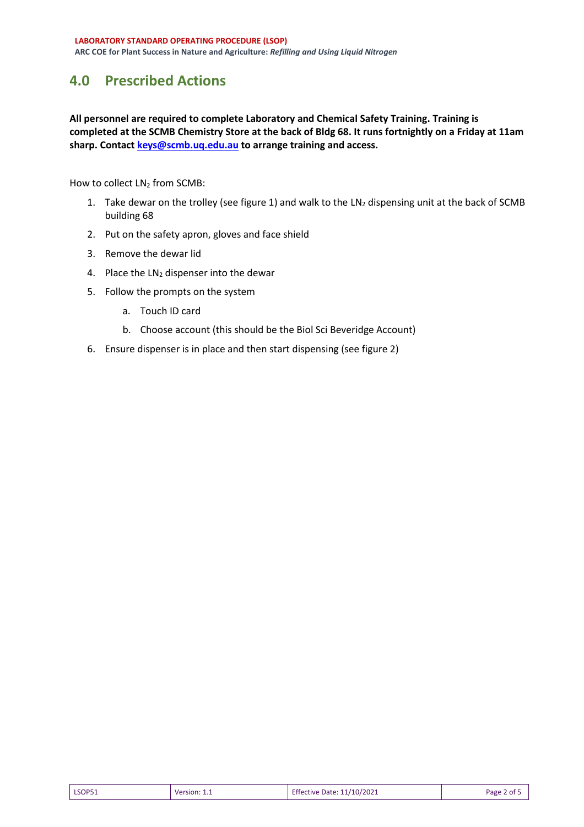## **4.0 Prescribed Actions**

**All personnel are required to complete Laboratory and Chemical Safety Training. Training is completed at the SCMB Chemistry Store at the back of Bldg 68. It runs fortnightly on a Friday at 11am sharp. Contac[t keys@scmb.uq.edu.au](mailto:keys@scmb.uq.edu.au) to arrange training and access.**

How to collect LN<sub>2</sub> from SCMB:

- 1. Take dewar on the trolley (see figure 1) and walk to the  $LN<sub>2</sub>$  dispensing unit at the back of SCMB building 68
- 2. Put on the safety apron, gloves and face shield
- 3. Remove the dewar lid
- 4. Place the  $LN<sub>2</sub>$  dispenser into the dewar
- 5. Follow the prompts on the system
	- a. Touch ID card
	- b. Choose account (this should be the Biol Sci Beveridge Account)
- 6. Ensure dispenser is in place and then start dispensing (see figure 2)

| <b>LSOP51</b> | Version: 1.1 | Effective Date: 11/10/2021 | Page 2 of 5 |
|---------------|--------------|----------------------------|-------------|
|---------------|--------------|----------------------------|-------------|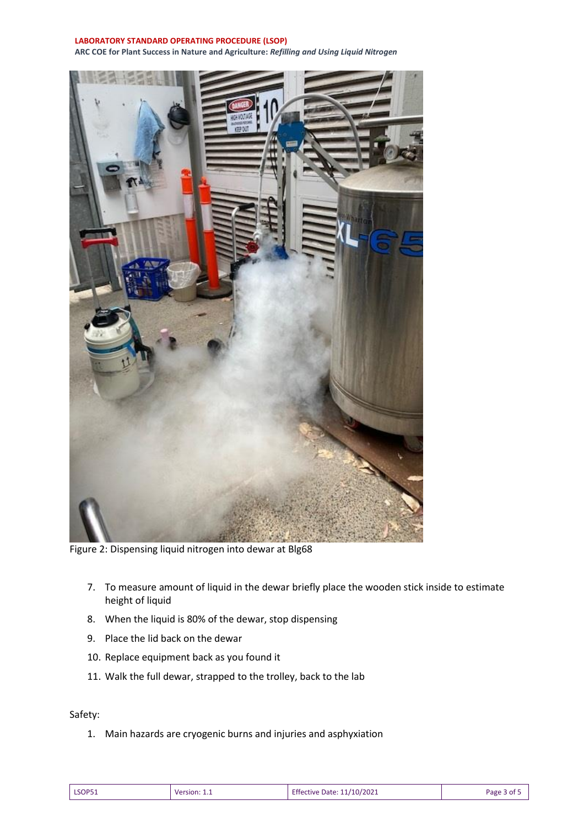#### **LABORATORY STANDARD OPERATING PROCEDURE (LSOP)**

**ARC COE for Plant Success in Nature and Agriculture:** *Refilling and Using Liquid Nitrogen* 



Figure 2: Dispensing liquid nitrogen into dewar at Blg68

- 7. To measure amount of liquid in the dewar briefly place the wooden stick inside to estimate height of liquid
- 8. When the liquid is 80% of the dewar, stop dispensing
- 9. Place the lid back on the dewar
- 10. Replace equipment back as you found it
- 11. Walk the full dewar, strapped to the trolley, back to the lab

### Safety:

1. Main hazards are cryogenic burns and injuries and asphyxiation

| <b>LSOP51</b><br>Version:<br>________ | Effective Date: 11/10/2021<br>. | Page<br>זר |
|---------------------------------------|---------------------------------|------------|
|---------------------------------------|---------------------------------|------------|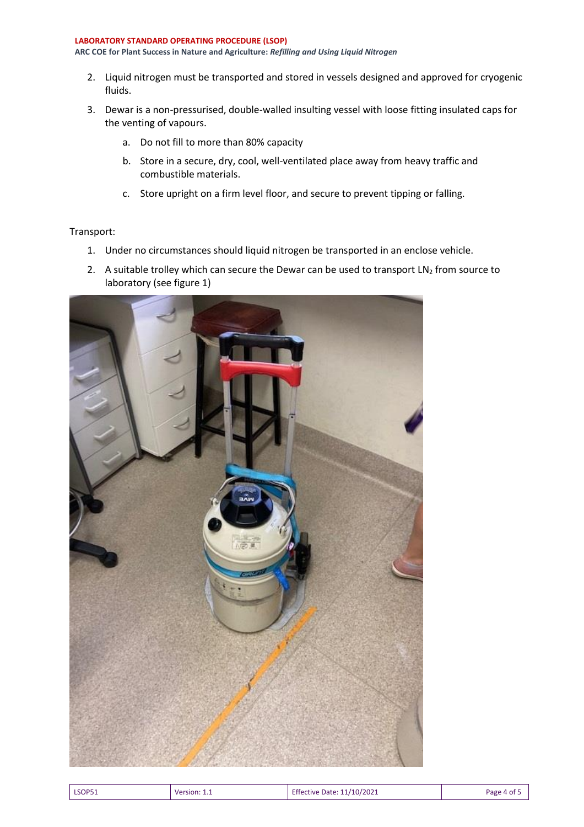#### **LABORATORY STANDARD OPERATING PROCEDURE (LSOP) ARC COE for Plant Success in Nature and Agriculture:** *Refilling and Using Liquid Nitrogen*

- 2. Liquid nitrogen must be transported and stored in vessels designed and approved for cryogenic fluids.
- 3. Dewar is a non-pressurised, double-walled insulting vessel with loose fitting insulated caps for the venting of vapours.
	- a. Do not fill to more than 80% capacity
	- b. Store in a secure, dry, cool, well-ventilated place away from heavy traffic and combustible materials.
	- c. Store upright on a firm level floor, and secure to prevent tipping or falling.

### Transport:

- 1. Under no circumstances should liquid nitrogen be transported in an enclose vehicle.
- 2. A suitable trolley which can secure the Dewar can be used to transport  $LN<sub>2</sub>$  from source to laboratory (see figure 1)